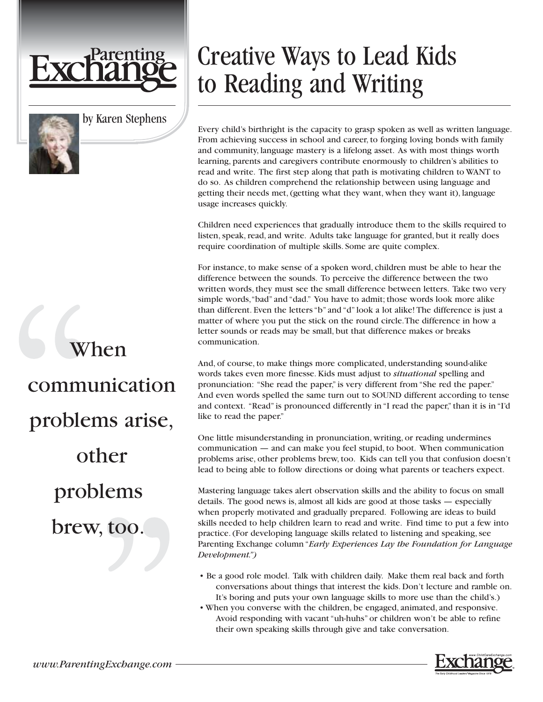

by Karen Stephens

## When communication problems arise, other problems brew, too.

## Creative Ways to Lead Kids to Reading and Writing

Every child's birthright is the capacity to grasp spoken as well as written language. From achieving success in school and career, to forging loving bonds with family and community, language mastery is a lifelong asset. As with most things worth learning, parents and caregivers contribute enormously to children's abilities to read and write. The first step along that path is motivating children to WANT to do so. As children comprehend the relationship between using language and getting their needs met, (getting what they want, when they want it), language usage increases quickly.

Children need experiences that gradually introduce them to the skills required to listen, speak, read, and write. Adults take language for granted, but it really does require coordination of multiple skills. Some are quite complex.

For instance, to make sense of a spoken word, children must be able to hear the difference between the sounds. To perceive the difference between the two written words, they must see the small difference between letters. Take two very simple words,"bad" and "dad." You have to admit; those words look more alike than different. Even the letters "b" and "d" look a lot alike! The difference is just a matter of where you put the stick on the round circle.The difference in how a letter sounds or reads may be small, but that difference makes or breaks communication.

And, of course, to make things more complicated, understanding sound-alike words takes even more finesse. Kids must adjust to *situational* spelling and pronunciation: "She read the paper," is very different from "She red the paper." And even words spelled the same turn out to SOUND different according to tense and context. "Read" is pronounced differently in "I read the paper," than it is in "I'd like to read the paper."

One little misunderstanding in pronunciation, writing, or reading undermines communication — and can make you feel stupid, to boot. When communication problems arise, other problems brew, too. Kids can tell you that confusion doesn't lead to being able to follow directions or doing what parents or teachers expect.

Mastering language takes alert observation skills and the ability to focus on small details. The good news is, almost all kids are good at those tasks — especially when properly motivated and gradually prepared. Following are ideas to build skills needed to help children learn to read and write. Find time to put a few into practice. (For developing language skills related to listening and speaking, see Parenting Exchange column "*Early Experiences Lay the Foundation for Language Development.")*

- Be a good role model. Talk with children daily. Make them real back and forth conversations about things that interest the kids. Don't lecture and ramble on. It's boring and puts your own language skills to more use than the child's.)
- When you converse with the children, be engaged, animated, and responsive. Avoid responding with vacant "uh-huhs" or children won't be able to refine their own speaking skills through give and take conversation.